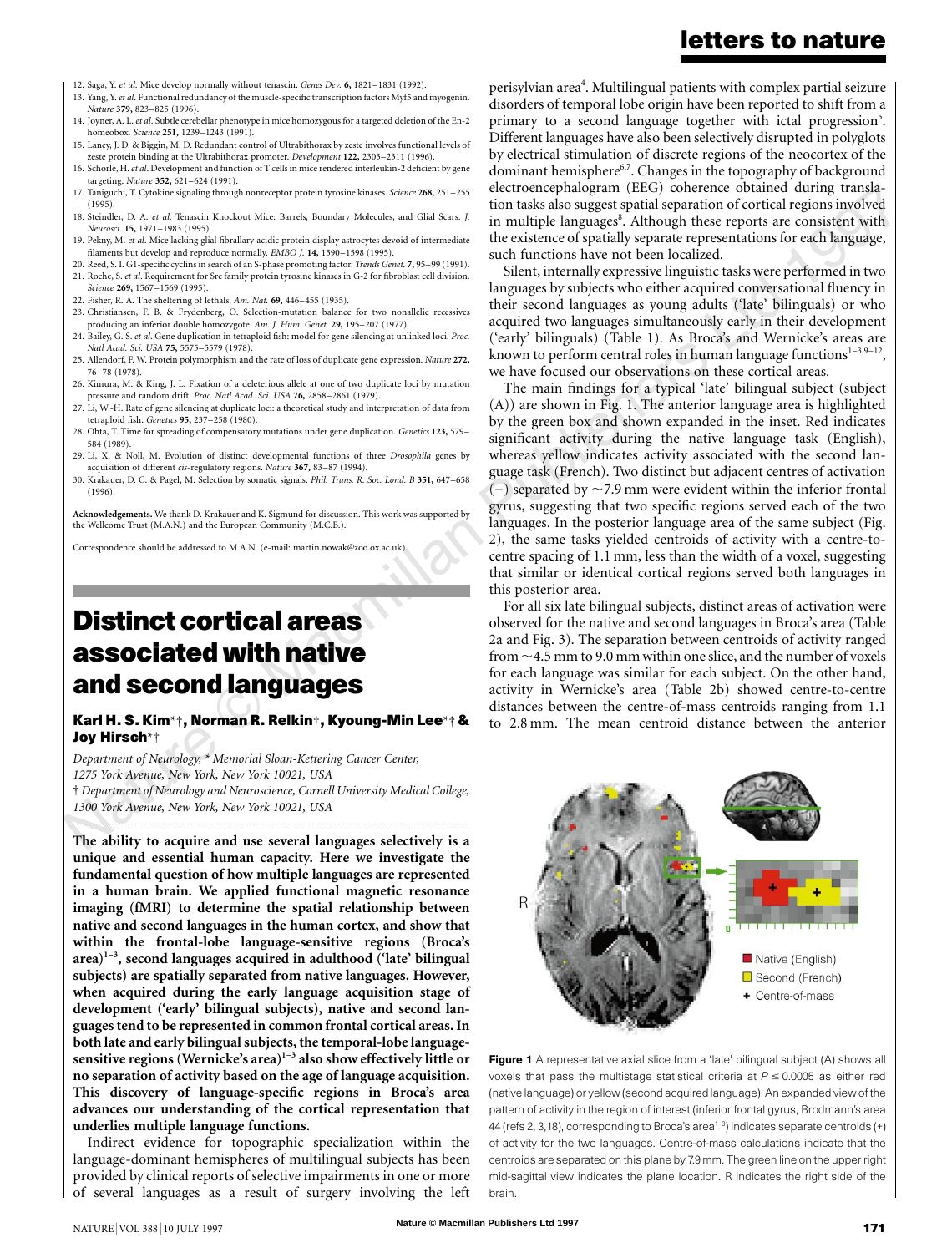- 12. Saga, Y. *et al*. Mice develop normally without tenascin. *Genes Dev.* **6,** 1821–1831 (1992).
- 13. Yang, Y.*et al*. Functional redundancy of the muscle-specific transcription factors Myf5 and myogenin. *Nature* **379,** 823–825 (1996).
- 14. Joyner, A. L. *et al*. Subtle cerebellar phenotype in mice homozygous for a targeted deletion of the En-2 homeobox. *Science* **251,** 1239–1243 (1991).
- 15. Laney, J. D. & Biggin, M. D. Redundant control of Ultrabithorax by zeste involves functional levels of zeste protein binding at the Ultrabithorax promoter. *Development* **122,** 2303–2311 (1996).
- 16. Schorle, H.*et al*. Development and function of T cells in mice rendered interleukin-2 deficient by gene targeting. *Nature* **352,** 621–624 (1991).
- 17. Taniguchi, T. Cytokine signaling through nonreceptor protein tyrosine kinases. *Science* **268,** 251–255 (1995).
- 18. Steindler, D. A. *et al*. Tenascin Knockout Mice: Barrels, Boundary Molecules, and Glial Scars. *J. Neurosci.* **15,** 1971–1983 (1995).
- 19. Pekny, M. *et al*. Mice lacking glial fibrallary acidic protein display astrocytes devoid of intermediate filaments but develop and reproduce normally. *EMBO J.* **14,** 1590–1598 (1995).
- 20. Reed, S. I. G1-specific cyclins in search of an S-phase promoting factor. *Trends Genet.* **7,** 95–99 (1991). 21. Roche, S. *et al*. Requirement for Src family protein tyrosine kinases in G-2 for fibroblast cell division.
- *Science* **269,** 1567–1569 (1995).
- 22. Fisher, R. A. The sheltering of lethals. *Am. Nat.* **69,** 446–455 (1935).
- 23. Christiansen, F. B. & Frydenberg, O. Selection-mutation balance for two nonallelic recessives producing an inferior double homozygote. *Am. J. Hum. Genet.* **29,** 195–207 (1977). 24. Bailey, G. S. *et al*. Gene duplication in tetraploid fish: model for gene silencing at unlinked loci. *Proc.*
- *Natl Acad. Sci. USA* **75,** 5575–5579 (1978). 25. Allendorf, F. W. Protein polymorphism and the rate of loss of duplicate gene expression. *Nature* **272,** 76–78 (1978).
- 26. Kimura, M. & King, J. L. Fixation of a deleterious allele at one of two duplicate loci by mutation pressure and random drift. *Proc. Natl Acad. Sci. USA* **76,** 2858–2861 (1979).
- 27. Li, W.-H. Rate of gene silencing at duplicate loci: a theoretical study and interpretation of data from tetraploid fish. *Genetics* **95,** 237–258 (1980).
- 28. Ohta, T. Time for spreading of compensatory mutations under gene duplication. *Genetics* **123,** 579– 584 (1989).
- 29. Li, X. & Noll, M. Evolution of distinct developmental functions of three *Drosophila* genes by acquisition of different *cis*-regulatory regions. *Nature* **367,** 83–87 (1994).
- 30. Krakauer, D. C. & Pagel, M. Selection by somatic signals. *Phil. Trans. R. Soc. Lond. B* **351,** 647–658  $(1996)$

**Acknowledgements.** We thank D. Krakauer and K. Sigmund for discussion. This work was supported by the Wellcome Trust (M.A.N.) and the European Community (M.C.B.).

Correspondence should be addressed to M.A.N. (e-mail: martin.nowak@zoo.ox.ac.uk).

# **Distinct cortical areas associated with native and second languages**

### **Karl H. S. Kim**\*†**, Norman R. Relkin**†**, Kyoung-Min Lee**\*† **& Joy Hirsch**\*†

*Department of Neurology,* \* *Memorial Sloan-Kettering Cancer Center, 1275 York Avenue, New York, New York 10021, USA* † *Department of Neurology and Neuroscience, Cornell University Medical College, 1300 York Avenue, New York, New York 10021, USA*

*.........................................................................................................................*

**The ability to acquire and use several languages selectively is a unique and essential human capacity. Here we investigate the fundamental question of how multiple languages are represented in a human brain. We applied functional magnetic resonance imaging (fMRI) to determine the spatial relationship between native and second languages in the human cortex, and show that within the frontal-lobe language-sensitive regions (Broca's area)1–3, second languages acquired in adulthood ('late' bilingual subjects) are spatially separated from native languages. However, when acquired during the early language acquisition stage of development ('early' bilingual subjects), native and second languages tend to be represented in common frontal cortical areas. In both late and early bilingual subjects, the temporal-lobe languagesensitive regions (Wernicke's area)1–3 also show effectively little or no separation of activity based on the age of language acquisition. This discovery of language-specific regions in Broca's area advances our understanding of the cortical representation that underlies multiple language functions.**

Indirect evidence for topographic specialization within the language-dominant hemispheres of multilingual subjects has been provided by clinical reports of selective impairments in one or more of several languages as a result of surgery involving the left

perisylvian area $\hbox{}^4$ . Multilingual patients with complex partial seizure disorders of temporal lobe origin have been reported to shift from a primary to a second language together with ictal progression<sup>5</sup>. Different languages have also been selectively disrupted in polyglots by electrical stimulation of discrete regions of the neocortex of the dominant hemisphere<sup>6,7</sup>. Changes in the topography of background electroencephalogram (EEG) coherence obtained during translation tasks also suggest spatial separation of cortical regions involved in multiple languages<sup>8</sup>. Although these reports are consistent with the existence of spatially separate representations for each language, such functions have not been localized.

Silent, internally expressive linguistic tasks were performed in two languages by subjects who either acquired conversational fluency in their second languages as young adults ('late' bilinguals) or who acquired two languages simultaneously early in their development ('early' bilinguals) (Table 1). As Broca's and Wernicke's areas are known to perform central roles in human language functions $1-3,9-12$ , we have focused our observations on these cortical areas.

The main findings for a typical 'late' bilingual subject (subject (A)) are shown in Fig. 1. The anterior language area is highlighted by the green box and shown expanded in the inset. Red indicates significant activity during the native language task (English), whereas yellow indicates activity associated with the second language task (French). Two distinct but adjacent centres of activation (+) separated by  $\sim$  7.9 mm were evident within the inferior frontal gyrus, suggesting that two specific regions served each of the two languages. In the posterior language area of the same subject (Fig. 2), the same tasks yielded centroids of activity with a centre-tocentre spacing of 1.1 mm, less than the width of a voxel, suggesting that similar or identical cortical regions served both languages in this posterior area.

For all six late bilingual subjects, distinct areas of activation were observed for the native and second languages in Broca's area (Table 2a and Fig. 3). The separation between centroids of activity ranged from  $\sim$  4.5 mm to 9.0 mm within one slice, and the number of voxels for each language was similar for each subject. On the other hand, activity in Wernicke's area (Table 2b) showed centre-to-centre distances between the centre-of-mass centroids ranging from 1.1 to 2.8 mm. The mean centroid distance between the anterior





# **letters to nature**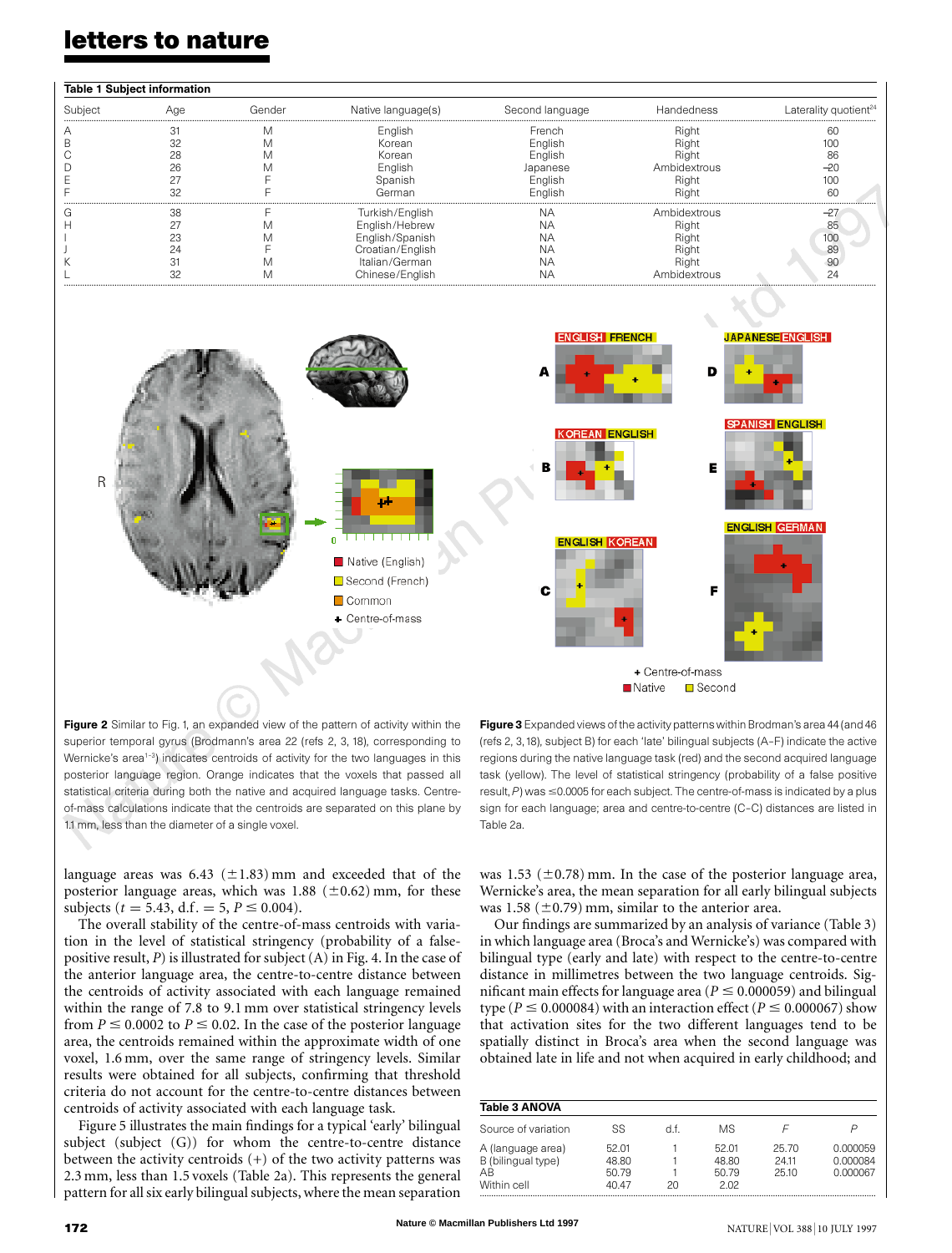## **letters to nature**

| <b>Table 1 Subject information</b> |     |        |                    |                 |              |                                   |  |  |
|------------------------------------|-----|--------|--------------------|-----------------|--------------|-----------------------------------|--|--|
| Subject                            | Aae | Gender | Native language(s) | Second language | Handedness   | Laterality quotient <sup>24</sup> |  |  |
|                                    |     |        | English            | French          | Right        | RΓ                                |  |  |
|                                    |     |        | Korean             | English         | Righ         |                                   |  |  |
|                                    | 28  |        | Korean             | English         | Right        |                                   |  |  |
|                                    | 26  |        | English            | Japanese        | Ambidextrous |                                   |  |  |
|                                    |     |        | Spanish            | English         | Right        |                                   |  |  |
|                                    |     |        | German             | Enalish         | Riaht        | 60                                |  |  |
|                                    | 38  |        | Turkish/English    | NΑ              | Ambidextrous |                                   |  |  |
|                                    |     |        | English/Hebrew     | NΑ              | Right        | 85                                |  |  |
|                                    | 23  |        | English/Spanish    | NΑ              | <b>Right</b> | 100                               |  |  |
|                                    | 24  |        | Croatian/English   | NΑ              | Right        | 8s                                |  |  |
|                                    |     |        | Italian/German     | NΑ              | Right        | 90                                |  |  |
|                                    |     |        | Chinese/English    | NA              | Ambidextrous | 24                                |  |  |



Figure 2 Similar to Fig. 1, an expanded view of the pattern of activity within the superior temporal gyrus (Brodmann's area 22 (refs 2, 3, 18), corresponding to Wernicke's area<sup>1-3</sup>) indicates centroids of activity for the two languages in this posterior language region. Orange indicates that the voxels that passed all statistical criteria during both the native and acquired language tasks. Centreof-mass calculations indicate that the centroids are separated on this plane by 1.1 mm, less than the diameter of a single voxel.

language areas was  $6.43$  ( $\pm 1.83$ ) mm and exceeded that of the posterior language areas, which was  $1.88$  ( $\pm$ 0.62) mm, for these subjects ( $t = 5.43$ , d.f. = 5,  $P \le 0.004$ ).

The overall stability of the centre-of-mass centroids with variation in the level of statistical stringency (probability of a falsepositive result, *P*) is illustrated for subject(A) in Fig. 4. In the case of the anterior language area, the centre-to-centre distance between the centroids of activity associated with each language remained within the range of 7.8 to 9.1 mm over statistical stringency levels from  $P \le 0.0002$  to  $P \le 0.02$ . In the case of the posterior language area, the centroids remained within the approximate width of one voxel, 1.6 mm, over the same range of stringency levels. Similar results were obtained for all subjects, confirming that threshold criteria do not account for the centre-to-centre distances between centroids of activity associated with each language task.

Figure 5 illustrates the main findings for a typical 'early' bilingual subject (subject (G)) for whom the centre-to-centre distance between the activity centroids (+) of the two activity patterns was 2.3 mm, less than 1.5 voxels (Table 2a). This represents the general pattern for all six early bilingual subjects, where the mean separation

Figure 3 Expanded views of the activity patterns within Brodman's area 44 (and 46 (refs 2, 3,18), subject B) for each 'late' bilingual subjects (A–F) indicate the active regions during the native language task (red) and the second acquired language task (yellow). The level of statistical stringency (probability of a false positive result,  $P$ ) was  $\leq$ 0.0005 for each subject. The centre-of-mass is indicated by a plus sign for each language; area and centre-to-centre (C–C) distances are listed in Table 2a.

was 1.53 ( $\pm$ 0.78) mm. In the case of the posterior language area, Wernicke's area, the mean separation for all early bilingual subjects was 1.58 ( $\pm$ 0.79) mm, similar to the anterior area.

Our findings are summarized by an analysis of variance (Table 3) inwhich language area (Broca's and Wernicke's) was compared with bilingual type (early and late) with respect to the centre-to-centre distance in millimetres between the two language centroids. Significant main effects for language area ( $P \le 0.000059$ ) and bilingual type ( $P \le 0.000084$ ) with an interaction effect ( $P \le 0.000067$ ) show that activation sites for the two different languages tend to be spatially distinct in Broca's area when the second language was obtained late in life and not when acquired in early childhood; and

| <b>Table 3 ANOVA</b>                                         |                                  |     |                                 |                        |                                  |  |  |  |
|--------------------------------------------------------------|----------------------------------|-----|---------------------------------|------------------------|----------------------------------|--|--|--|
| Source of variation                                          | SS                               | d f | МS                              |                        | P                                |  |  |  |
| A (language area)<br>B (bilingual type)<br>AR<br>Within cell | 52.01<br>48.80<br>50.79<br>40 47 | 20  | 52.01<br>48.80<br>50.79<br>2.02 | 25.70<br>2411<br>25.10 | 0.000059<br>0.000084<br>0.000067 |  |  |  |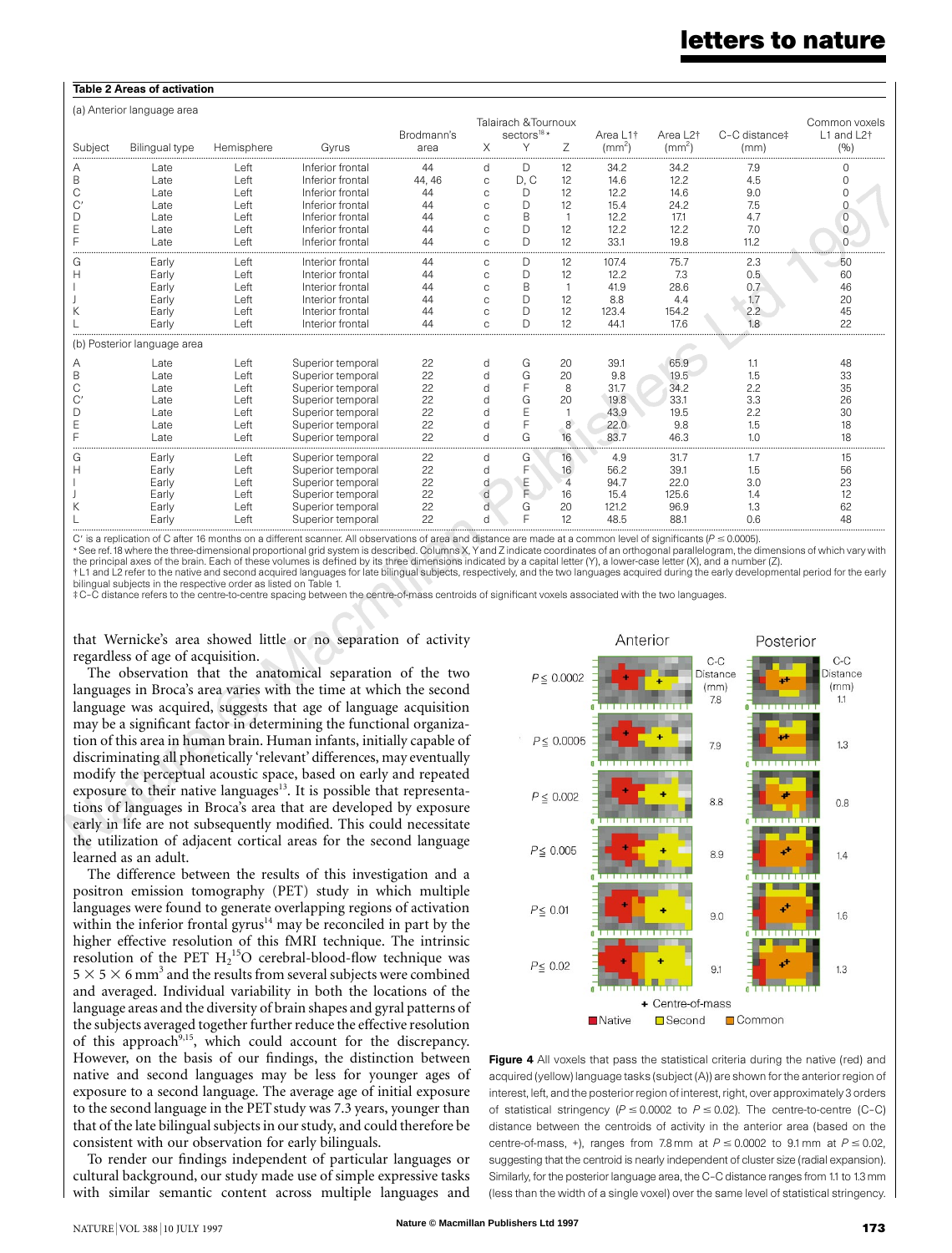### **letters to nature**

### Table 2 Areas of activation

(a) Anterior language area

| (a) Antenor language area |                             |            |                   | Talairach & Tournoux<br>sectors <sup>18</sup> *<br>C-C distance‡<br>Area $12†$<br>Brodmann's<br>Area I 1 <sup>+</sup> |               |              |    |              |              | Common voxels<br>$11$ and $12†$ |          |
|---------------------------|-----------------------------|------------|-------------------|-----------------------------------------------------------------------------------------------------------------------|---------------|--------------|----|--------------|--------------|---------------------------------|----------|
| Subject                   | <b>Bilingual type</b>       | Hemisphere | Gyrus             | area                                                                                                                  | X             | Υ            | Ζ  | $\text{m}^2$ | $\rm (mm^2)$ | (mm)                            | (9)      |
|                           | Late                        | Left       | Inferior frontal  | 44                                                                                                                    | d             | D            | 12 | 34.2         | 34.2         | 7.9                             |          |
| B                         | Late                        | Left       | Inferior frontal  | 44, 46                                                                                                                | C             | D. C         | 12 | 14.6         | 12.2         | 4.5                             |          |
|                           | Late                        | Left       | Inferior frontal  | 44                                                                                                                    | $\Omega$      | D            | 12 | 12.2         | 14.6         | 9.0                             |          |
|                           | Late                        | Left       | Inferior frontal  | 44                                                                                                                    |               | D            | 12 | 15.4         | 24.2         | 7.5                             |          |
| D                         | Late                        | Left       | Inferior frontal  | 44                                                                                                                    | $\Omega$      | B            |    | 12.2         | 17.1         | 4.7                             |          |
|                           | Late                        | Left       | Inferior frontal  | 44                                                                                                                    | $\Omega$      | D            | 12 | 12.2         | 12.2         | 7.0                             | $\Omega$ |
|                           | Late                        | Left       | Inferior frontal  | 44                                                                                                                    | $\triangle$   | D            | 12 | 33.1         | 19.8         | 11.2                            |          |
|                           | Early                       | Left       | Interior frontal  | 44                                                                                                                    | C             | D            | 12 | 107.4        | 75.7         | 2.3                             | 50       |
| H                         | Early                       | Left       | Interior frontal  | 44                                                                                                                    | C             | D            | 12 | 12.2         | 7.3          | 0.5                             | 60       |
|                           | Early                       | Left       | Interior frontal  | 44                                                                                                                    | $\Omega$      | <sub>B</sub> |    | 41.9         | 28.6         | 0.7                             | 46       |
|                           | Early                       | Left       | Interior frontal  | 44                                                                                                                    | $\mathcal{C}$ | $\Box$       | 12 | 8.8          | 4.4          | 1.7                             | 20       |
|                           | Early                       | Left       | Interior frontal  | 44                                                                                                                    | $\Omega$      | $\Box$       | 12 | 123.4        | 154.2        | 2.2                             | 45       |
|                           | Early                       | Left       | Interior frontal  | 44                                                                                                                    | Ċ             | D            | 12 | 44.1         | 17.6         | 1.8                             | 22       |
|                           | (b) Posterior language area |            |                   |                                                                                                                       |               |              |    |              |              |                                 |          |
| А                         | Late                        | Left       | Superior temporal | 22                                                                                                                    | d             | G            | 20 | 39.1         | 65.9         | 1.1                             | 48       |
| B                         | Late                        | Left       | Superior temporal | 22                                                                                                                    |               | G            | 20 | 9.8          | 19.5         | 1.5                             | 33       |
|                           | Late                        | Left       | Superior temporal | 22                                                                                                                    |               | F            | 8  | 31.7         | 34.2         | 2.2                             | 35       |
|                           | Late                        | Left       | Superior temporal | 22                                                                                                                    |               | G            | 20 | 19.8         | 33.1         | 3.3                             | 26       |
| D                         | Late                        | Left       | Superior temporal | 22                                                                                                                    |               | E            |    | 43.9         | 19.5         | 2.2                             | 30       |
|                           | Late                        | Left       | Superior temporal | 22                                                                                                                    |               | F            | 8  | 22.0         | 9.8          | 1.5                             | 18       |
|                           | Late                        | Left       | Superior temporal | 22                                                                                                                    |               | G            | 16 | 83.7         | 46.3         | 1.0                             | 18       |
| G                         | Early                       | Left       | Superior temporal | 22                                                                                                                    | d             | G            | 16 | 4.9          | 31.7         | 1.7                             | 15       |
|                           | Early                       | Left       | Superior temporal | 22                                                                                                                    | d             | F            | 16 | 56.2         | 39.1         | 1.5                             | 56       |
|                           | Early                       | Left       | Superior temporal | 22                                                                                                                    |               | E<br>F       | 4  | 94.7         | 22.0         | 3.0                             | 23       |
|                           | Early                       | Left       | Superior temporal | 22                                                                                                                    | d             |              | 16 | 15.4         | 125.6        | 1.4                             | 12       |
|                           | Early                       | Left       | Superior temporal | 22                                                                                                                    | d             | G            | 20 | 121.2        | 96.9         | 1.3                             | 62       |
|                           | Early                       | Left       | Superior temporal | 22                                                                                                                    | Ч             | E            | 12 | 48.5         | 88.1         | 0.6                             | 48       |

C' is a replication of C after 16 months on a different scanner. All observations of area and distance are made at a common level of significants ( $P \le 0.0005$ ).

\* See ref.18 where the three-dimensional proportional grid system is described. Columns X, Yand Z indicate coordinates of an orthogonal parallelogram, the dimensions of which vary with the principal axes of the brain. Each of these volumes is defined by its three dimensions indicated by a capital letter (Y), a lower-case letter (X), and a number (Z). † L1 and L2 refer to the native and second acquired languages for late bilingual subjects, respectively, and the two languages acquired during the early developmental period for the early bilingual subjects in the respective order as listed on Table 1.

‡ C–C distance refers to the centre-to-centre spacing between the centre-of-mass centroids of significant voxels associated with the two languages.

that Wernicke's area showed little or no separation of activity regardless of age of acquisition.

The observation that the anatomical separation of the two languages in Broca's area varies with the time at which the second language was acquired, suggests that age of language acquisition may be a significant factor in determining the functional organization of this area in human brain. Human infants, initially capable of discriminating all phonetically 'relevant' differences, may eventually modify the perceptual acoustic space, based on early and repeated exposure to their native languages<sup>13</sup>. It is possible that representations of languages in Broca's area that are developed by exposure early in life are not subsequently modified. This could necessitate the utilization of adjacent cortical areas for the second language learned as an adult.

The difference between the results of this investigation and a positron emission tomography (PET) study in which multiple languages were found to generate overlapping regions of activation within the inferior frontal gyrus $14$  may be reconciled in part by the higher effective resolution of this fMRI technique. The intrinsic resolution of the PET  $H_2$ <sup>15</sup>O cerebral-blood-flow technique was  $5 \times 5 \times 6$  mm<sup>3</sup> and the results from several subjects were combined and averaged. Individual variability in both the locations of the language areas and the diversity of brain shapes and gyral patterns of the subjects averaged together further reduce the effective resolution of this approach<sup>9,15</sup>, which could account for the discrepancy. However, on the basis of our findings, the distinction between native and second languages may be less for younger ages of exposure to a second language. The average age of initial exposure to the second language in the PET study was 7.3 years, younger than that of the late bilingual subjects in our study, and could therefore be consistent with our observation for early bilinguals.

To render our findings independent of particular languages or cultural background, our study made use of simple expressive tasks with similar semantic content across multiple languages and



Figure 4 All voxels that pass the statistical criteria during the native (red) and acquired (yellow) language tasks (subject (A)) are shown for the anterior region of interest, left, and the posterior region of interest, right, over approximately 3 orders of statistical stringency ( $P \le 0.0002$  to  $P \le 0.02$ ). The centre-to-centre (C-C) distance between the centroids of activity in the anterior area (based on the centre-of-mass, +), ranges from 7.8 mm at  $P \le 0.0002$  to 9.1 mm at  $P \le 0.02$ , suggesting that the centroid is nearly independent of cluster size (radial expansion). Similarly, for the posterior language area, the C–C distance ranges from 1.1 to 1.3mm (less than the width of a single voxel) over the same level of statistical stringency.